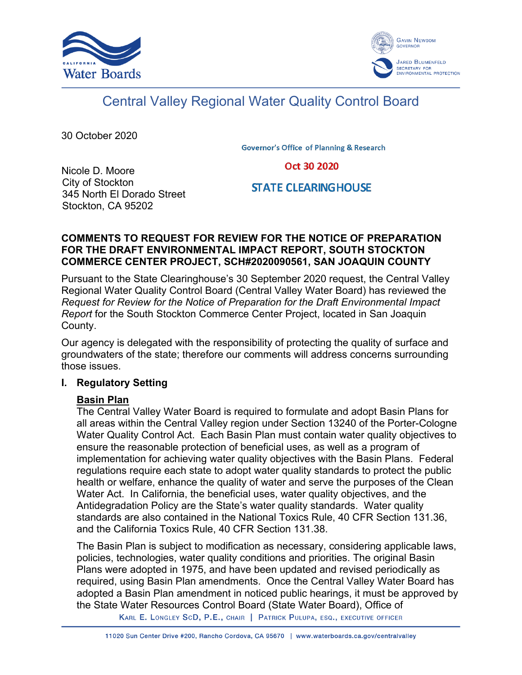



# Central Valley Regional Water Quality Control Board

30 October 2020

**Governor's Office of Planning & Research** 

Oct 30 2020

Nicole D. Moore City of Stockton 345 North El Dorado Street Stockton, CA 95202

**STATE CLEARING HOUSE** 

## **COMMENTS TO REQUEST FOR REVIEW FOR THE NOTICE OF PREPARATION FOR THE DRAFT ENVIRONMENTAL IMPACT REPORT, SOUTH STOCKTON COMMERCE CENTER PROJECT, SCH#2020090561, SAN JOAQUIN COUNTY**

Pursuant to the State Clearinghouse's 30 September 2020 request, the Central Valley Regional Water Quality Control Board (Central Valley Water Board) has reviewed the *Request for Review for the Notice of Preparation for the Draft Environmental Impact Report* for the South Stockton Commerce Center Project, located in San Joaquin County.

Our agency is delegated with the responsibility of protecting the quality of surface and groundwaters of the state; therefore our comments will address concerns surrounding those issues.

# **I. Regulatory Setting**

# **Basin Plan**

The Central Valley Water Board is required to formulate and adopt Basin Plans for all areas within the Central Valley region under Section 13240 of the Porter-Cologne Water Quality Control Act. Each Basin Plan must contain water quality objectives to ensure the reasonable protection of beneficial uses, as well as a program of implementation for achieving water quality objectives with the Basin Plans. Federal regulations require each state to adopt water quality standards to protect the public health or welfare, enhance the quality of water and serve the purposes of the Clean Water Act. In California, the beneficial uses, water quality objectives, and the Antidegradation Policy are the State's water quality standards. Water quality standards are also contained in the National Toxics Rule, 40 CFR Section 131.36, and the California Toxics Rule, 40 CFR Section 131.38.

The Basin Plan is subject to modification as necessary, considering applicable laws, policies, technologies, water quality conditions and priorities. The original Basin Plans were adopted in 1975, and have been updated and revised periodically as required, using Basin Plan amendments. Once the Central Valley Water Board has adopted a Basin Plan amendment in noticed public hearings, it must be approved by the State Water Resources Control Board (State Water Board), Office of

KARL E. LONGLEY SCD, P.E., CHAIR | PATRICK PULUPA, ESQ., EXECUTIVE OFFICER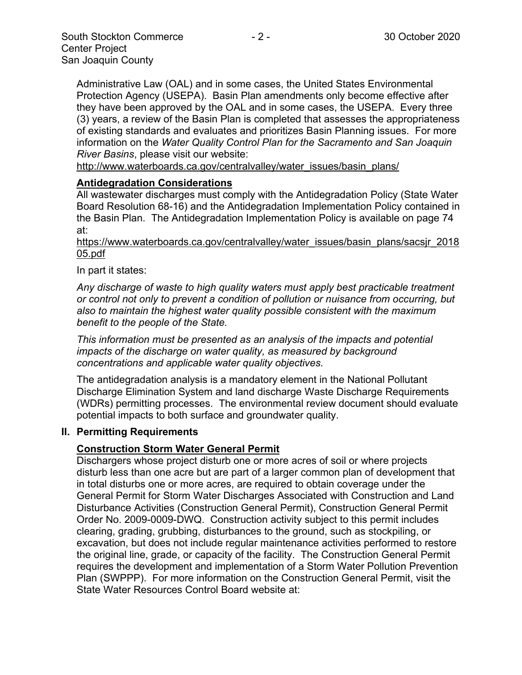Administrative Law (OAL) and in some cases, the United States Environmental Protection Agency (USEPA). Basin Plan amendments only become effective after they have been approved by the OAL and in some cases, the USEPA. Every three (3) years, a review of the Basin Plan is completed that assesses the appropriateness of existing standards and evaluates and prioritizes Basin Planning issues. For more information on the *Water Quality Control Plan for the Sacramento and San Joaquin River Basins*, please visit our website:

[http://www.waterboards.ca.gov/centralvalley/water\\_issues/basin\\_plans/](http://www.waterboards.ca.gov/centralvalley/water_issues/basin_plans/)

#### **Antidegradation Considerations**

All wastewater discharges must comply with the Antidegradation Policy (State Water Board Resolution 68-16) and the Antidegradation Implementation Policy contained in the Basin Plan. The Antidegradation Implementation Policy is available on page 74 at:

#### https://www.waterboards.ca.gov/centralvalley/water\_issues/basin\_plans/sacsjr\_2018 05.pdf

#### In part it states:

*Any discharge of waste to high quality waters must apply best practicable treatment or control not only to prevent a condition of pollution or nuisance from occurring, but also to maintain the highest water quality possible consistent with the maximum benefit to the people of the State.*

*This information must be presented as an analysis of the impacts and potential impacts of the discharge on water quality, as measured by background concentrations and applicable water quality objectives.*

The antidegradation analysis is a mandatory element in the National Pollutant Discharge Elimination System and land discharge Waste Discharge Requirements (WDRs) permitting processes. The environmental review document should evaluate potential impacts to both surface and groundwater quality.

#### **II. Permitting Requirements**

#### **Construction Storm Water General Permit**

Dischargers whose project disturb one or more acres of soil or where projects disturb less than one acre but are part of a larger common plan of development that in total disturbs one or more acres, are required to obtain coverage under the General Permit for Storm Water Discharges Associated with Construction and Land Disturbance Activities (Construction General Permit), Construction General Permit Order No. 2009-0009-DWQ. Construction activity subject to this permit includes clearing, grading, grubbing, disturbances to the ground, such as stockpiling, or excavation, but does not include regular maintenance activities performed to restore the original line, grade, or capacity of the facility. The Construction General Permit requires the development and implementation of a Storm Water Pollution Prevention Plan (SWPPP). For more information on the Construction General Permit, visit the State Water Resources Control Board website at: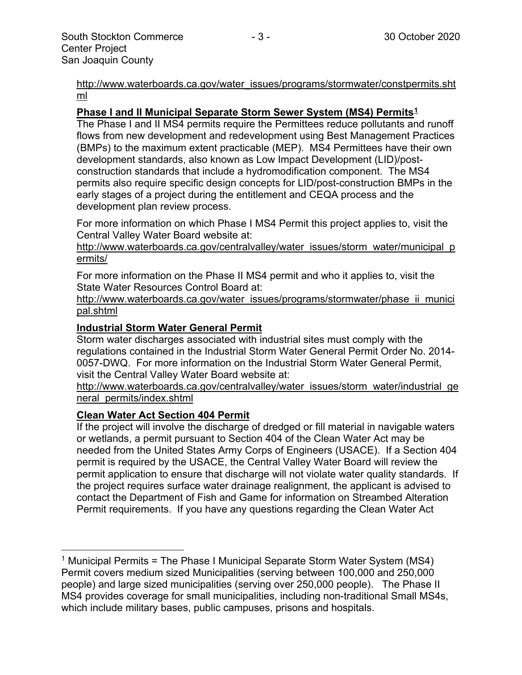[http://www.waterboards.ca.gov/water\\_issues/programs/stormwater/constpermits.sht](http://www.waterboards.ca.gov/water_issues/programs/stormwater/constpermits.shtml) [ml](http://www.waterboards.ca.gov/water_issues/programs/stormwater/constpermits.shtml)

## **Phase I and II Municipal Separate Storm Sewer System (MS4) Permits[1](#page-2-0)**

The Phase I and II MS4 permits require the Permittees reduce pollutants and runoff flows from new development and redevelopment using Best Management Practices (BMPs) to the maximum extent practicable (MEP). MS4 Permittees have their own development standards, also known as Low Impact Development (LID)/postconstruction standards that include a hydromodification component. The MS4 permits also require specific design concepts for LID/post-construction BMPs in the early stages of a project during the entitlement and CEQA process and the development plan review process.

For more information on which Phase I MS4 Permit this project applies to, visit the Central Valley Water Board website at:

http://www.waterboards.ca.gov/centralvalley/water\_issues/storm\_water/municipal\_p ermits/

For more information on the Phase II MS4 permit and who it applies to, visit the State Water Resources Control Board at:

http://www.waterboards.ca.gov/water\_issues/programs/stormwater/phase\_ii\_munici pal.shtml

## **Industrial Storm Water General Permit**

Storm water discharges associated with industrial sites must comply with the regulations contained in the Industrial Storm Water General Permit Order No. 2014- 0057-DWQ. For more information on the Industrial Storm Water General Permit, visit the Central Valley Water Board website at:

http://www.waterboards.ca.gov/centralvalley/water\_issues/storm\_water/industrial\_ge neral\_permits/index.shtml

#### **Clean Water Act Section 404 Permit**

If the project will involve the discharge of dredged or fill material in navigable waters or wetlands, a permit pursuant to Section 404 of the Clean Water Act may be needed from the United States Army Corps of Engineers (USACE). If a Section 404 permit is required by the USACE, the Central Valley Water Board will review the permit application to ensure that discharge will not violate water quality standards. If the project requires surface water drainage realignment, the applicant is advised to contact the Department of Fish and Game for information on Streambed Alteration Permit requirements. If you have any questions regarding the Clean Water Act

<span id="page-2-0"></span><sup>&</sup>lt;sup>1</sup> Municipal Permits = The Phase I Municipal Separate Storm Water System (MS4) Permit covers medium sized Municipalities (serving between 100,000 and 250,000 people) and large sized municipalities (serving over 250,000 people). The Phase II MS4 provides coverage for small municipalities, including non-traditional Small MS4s, which include military bases, public campuses, prisons and hospitals.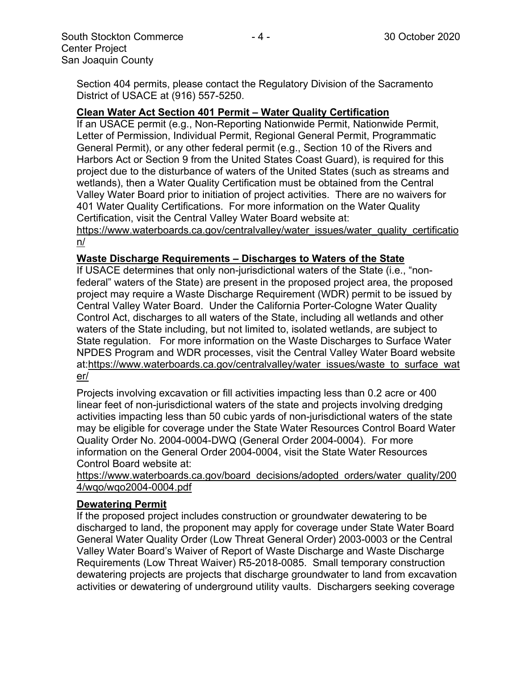## **Clean Water Act Section 401 Permit – Water Quality Certification**

If an USACE permit (e.g., Non-Reporting Nationwide Permit, Nationwide Permit, Letter of Permission, Individual Permit, Regional General Permit, Programmatic General Permit), or any other federal permit (e.g., Section 10 of the Rivers and Harbors Act or Section 9 from the United States Coast Guard), is required for this project due to the disturbance of waters of the United States (such as streams and wetlands), then a Water Quality Certification must be obtained from the Central Valley Water Board prior to initiation of project activities. There are no waivers for 401 Water Quality Certifications. For more information on the Water Quality Certification, visit the Central Valley Water Board website at:

https://www.waterboards.ca.gov/centralvalley/water\_issues/water\_quality\_certificatio n/

#### **Waste Discharge Requirements – Discharges to Waters of the State**

If USACE determines that only non-jurisdictional waters of the State (i.e., "nonfederal" waters of the State) are present in the proposed project area, the proposed project may require a Waste Discharge Requirement (WDR) permit to be issued by Central Valley Water Board. Under the California Porter-Cologne Water Quality Control Act, discharges to all waters of the State, including all wetlands and other waters of the State including, but not limited to, isolated wetlands, are subject to State regulation. For more information on the Waste Discharges to Surface Water NPDES Program and WDR processes, visit the Central Valley Water Board website at:https://www.waterboards.ca.gov/centralvalley/water\_issues/waste\_to\_surface\_wat er/

Projects involving excavation or fill activities impacting less than 0.2 acre or 400 linear feet of non-jurisdictional waters of the state and projects involving dredging activities impacting less than 50 cubic yards of non-jurisdictional waters of the state may be eligible for coverage under the State Water Resources Control Board Water Quality Order No. 2004-0004-DWQ (General Order 2004-0004). For more information on the General Order 2004-0004, visit the State Water Resources Control Board website at:

https://www.waterboards.ca.gov/board\_decisions/adopted\_orders/water\_quality/200 4/wqo/wqo2004-0004.pdf

#### **Dewatering Permit**

If the proposed project includes construction or groundwater dewatering to be discharged to land, the proponent may apply for coverage under State Water Board General Water Quality Order (Low Threat General Order) 2003-0003 or the Central Valley Water Board's Waiver of Report of Waste Discharge and Waste Discharge Requirements (Low Threat Waiver) R5-2018-0085. Small temporary construction dewatering projects are projects that discharge groundwater to land from excavation activities or dewatering of underground utility vaults. Dischargers seeking coverage